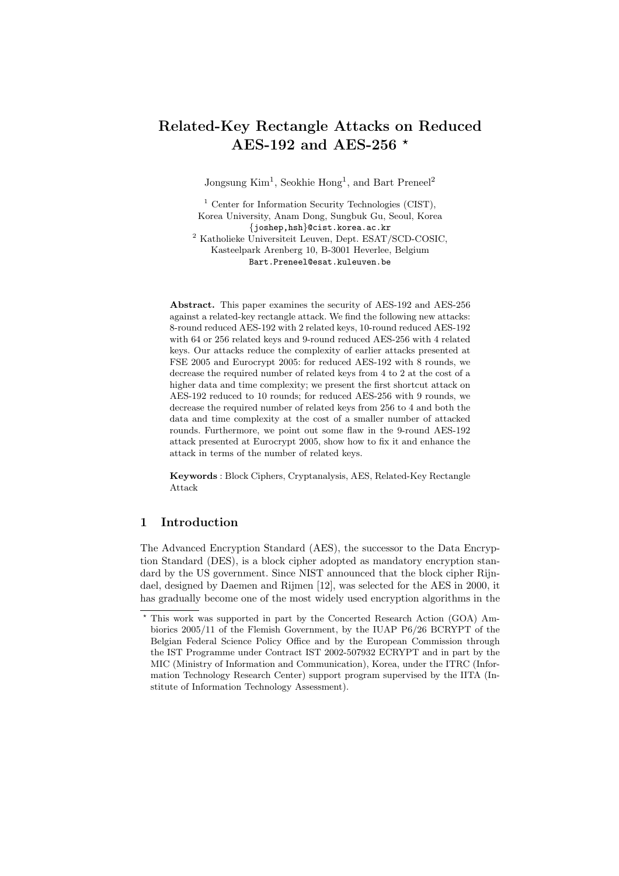# Related-Key Rectangle Attacks on Reduced AES-192 and AES-256  $*$

Jongsung  $\text{Kim}^1$ , Seokhie Hong<sup>1</sup>, and Bart Preneel<sup>2</sup>

<sup>1</sup> Center for Information Security Technologies (CIST), Korea University, Anam Dong, Sungbuk Gu, Seoul, Korea {joshep,hsh}@cist.korea.ac.kr <sup>2</sup> Katholieke Universiteit Leuven, Dept. ESAT/SCD-COSIC, Kasteelpark Arenberg 10, B-3001 Heverlee, Belgium Bart.Preneel@esat.kuleuven.be

Abstract. This paper examines the security of AES-192 and AES-256 against a related-key rectangle attack. We find the following new attacks: 8-round reduced AES-192 with 2 related keys, 10-round reduced AES-192 with 64 or 256 related keys and 9-round reduced AES-256 with 4 related keys. Our attacks reduce the complexity of earlier attacks presented at FSE 2005 and Eurocrypt 2005: for reduced AES-192 with 8 rounds, we decrease the required number of related keys from 4 to 2 at the cost of a higher data and time complexity; we present the first shortcut attack on AES-192 reduced to 10 rounds; for reduced AES-256 with 9 rounds, we decrease the required number of related keys from 256 to 4 and both the data and time complexity at the cost of a smaller number of attacked rounds. Furthermore, we point out some flaw in the 9-round AES-192 attack presented at Eurocrypt 2005, show how to fix it and enhance the attack in terms of the number of related keys.

Keywords : Block Ciphers, Cryptanalysis, AES, Related-Key Rectangle Attack

## 1 Introduction

The Advanced Encryption Standard (AES), the successor to the Data Encryption Standard (DES), is a block cipher adopted as mandatory encryption standard by the US government. Since NIST announced that the block cipher Rijndael, designed by Daemen and Rijmen [12], was selected for the AES in 2000, it has gradually become one of the most widely used encryption algorithms in the

<sup>?</sup> This work was supported in part by the Concerted Research Action (GOA) Ambiorics 2005/11 of the Flemish Government, by the IUAP P6/26 BCRYPT of the Belgian Federal Science Policy Office and by the European Commission through the IST Programme under Contract IST 2002-507932 ECRYPT and in part by the MIC (Ministry of Information and Communication), Korea, under the ITRC (Information Technology Research Center) support program supervised by the IITA (Institute of Information Technology Assessment).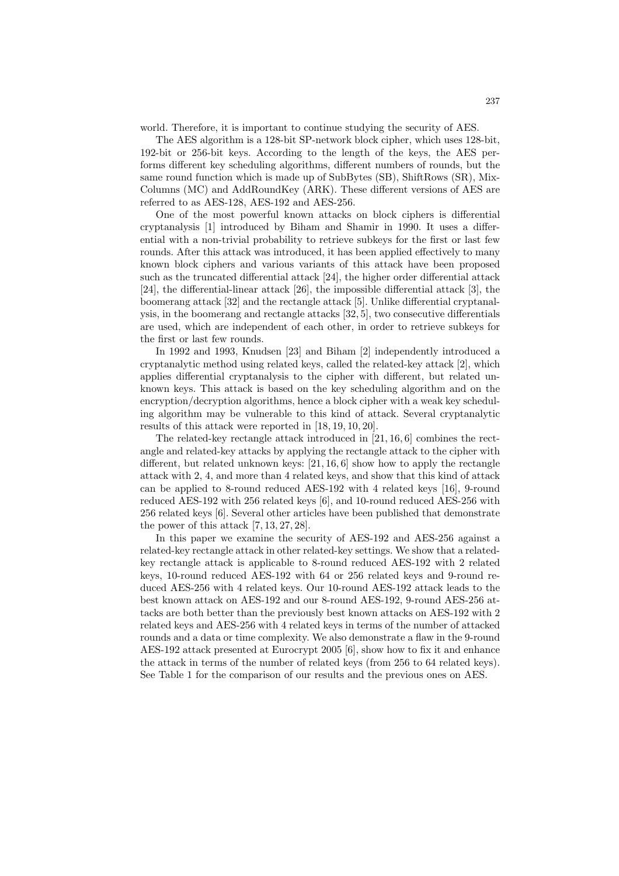world. Therefore, it is important to continue studying the security of AES.

The AES algorithm is a 128-bit SP-network block cipher, which uses 128-bit, 192-bit or 256-bit keys. According to the length of the keys, the AES performs different key scheduling algorithms, different numbers of rounds, but the same round function which is made up of SubBytes (SB), ShiftRows (SR), Mix-Columns (MC) and AddRoundKey (ARK). These different versions of AES are referred to as AES-128, AES-192 and AES-256.

One of the most powerful known attacks on block ciphers is differential cryptanalysis [1] introduced by Biham and Shamir in 1990. It uses a differential with a non-trivial probability to retrieve subkeys for the first or last few rounds. After this attack was introduced, it has been applied effectively to many known block ciphers and various variants of this attack have been proposed such as the truncated differential attack [24], the higher order differential attack [24], the differential-linear attack [26], the impossible differential attack [3], the boomerang attack [32] and the rectangle attack [5]. Unlike differential cryptanalysis, in the boomerang and rectangle attacks [32, 5], two consecutive differentials are used, which are independent of each other, in order to retrieve subkeys for the first or last few rounds.

In 1992 and 1993, Knudsen [23] and Biham [2] independently introduced a cryptanalytic method using related keys, called the related-key attack [2], which applies differential cryptanalysis to the cipher with different, but related unknown keys. This attack is based on the key scheduling algorithm and on the encryption/decryption algorithms, hence a block cipher with a weak key scheduling algorithm may be vulnerable to this kind of attack. Several cryptanalytic results of this attack were reported in [18, 19, 10, 20].

The related-key rectangle attack introduced in [21, 16, 6] combines the rectangle and related-key attacks by applying the rectangle attack to the cipher with different, but related unknown keys:  $[21, 16, 6]$  show how to apply the rectangle attack with 2, 4, and more than 4 related keys, and show that this kind of attack can be applied to 8-round reduced AES-192 with 4 related keys [16], 9-round reduced AES-192 with 256 related keys [6], and 10-round reduced AES-256 with 256 related keys [6]. Several other articles have been published that demonstrate the power of this attack [7, 13, 27, 28].

In this paper we examine the security of AES-192 and AES-256 against a related-key rectangle attack in other related-key settings. We show that a relatedkey rectangle attack is applicable to 8-round reduced AES-192 with 2 related keys, 10-round reduced AES-192 with 64 or 256 related keys and 9-round reduced AES-256 with 4 related keys. Our 10-round AES-192 attack leads to the best known attack on AES-192 and our 8-round AES-192, 9-round AES-256 attacks are both better than the previously best known attacks on AES-192 with 2 related keys and AES-256 with 4 related keys in terms of the number of attacked rounds and a data or time complexity. We also demonstrate a flaw in the 9-round AES-192 attack presented at Eurocrypt 2005 [6], show how to fix it and enhance the attack in terms of the number of related keys (from 256 to 64 related keys). See Table 1 for the comparison of our results and the previous ones on AES.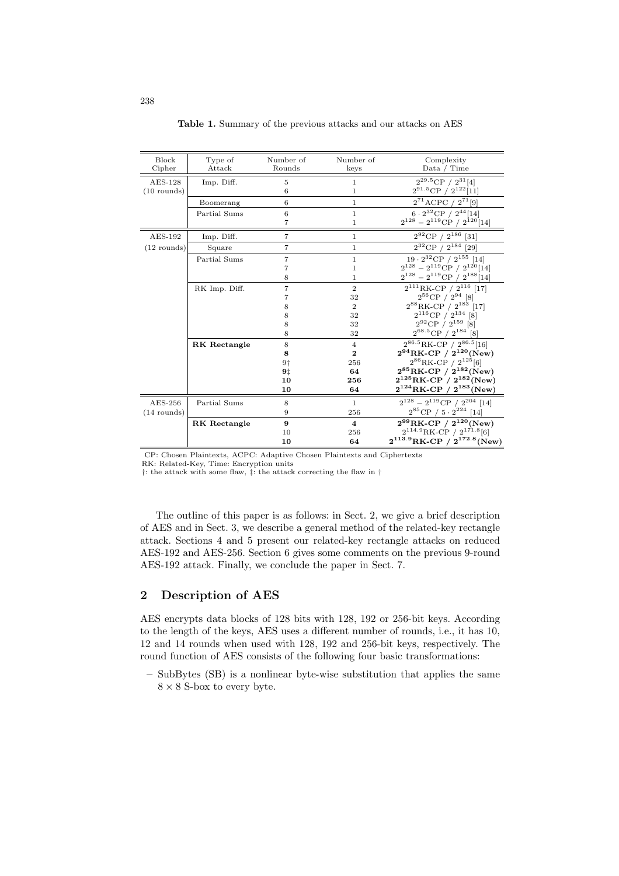| Block<br>Cipher            | Type of<br>Attack                                 | Number of<br>Rounds | Number of<br>keys       | Complexity<br>Data / Time                                    |  |
|----------------------------|---------------------------------------------------|---------------------|-------------------------|--------------------------------------------------------------|--|
| $AES-128$<br>$(10$ rounds) | Imp. Diff.                                        | 5<br>6              | 1<br>1                  | $2^{29.5}$ CP / $2^{31}[4]$<br>$2^{91.5}$ CP / $2^{122}[11]$ |  |
|                            | Boomerang                                         | 6                   | $\mathbf 1$             | $2^{71}$ ACPC / $2^{71}$ [9]                                 |  |
|                            | Partial Sums                                      | 6                   | 1                       | $6 \cdot 2^{32}$ CP / $2^{44}$ [14]                          |  |
|                            |                                                   | 7                   | 1                       | $2^{128} - 2^{119}$ CP / $2^{120}$ [14]                      |  |
| $AES-192$                  | Imp. Diff.                                        | $\overline{7}$      | 1                       | $2^{92}$ CP / $2^{186}$ [31]                                 |  |
| $(12$ rounds)              | Square                                            | 7                   | 1                       | $2^{32}$ CP / $2^{184}$ [29]                                 |  |
|                            | Partial Sums                                      | 7                   | 1                       | $19 \cdot 2^{32}$ CP / $2^{155}$ [14]                        |  |
|                            |                                                   | 7                   | 1                       | $2^{128} - 2^{119}$ CP / $2^{120}$ [14]                      |  |
|                            |                                                   | 8                   | 1                       | $2^{128} - 2^{119}$ CP $\big/ 2^{188}$ [14]                  |  |
|                            | $\overline{2}$<br>RK Imp. Diff.<br>$\overline{7}$ |                     |                         | $2^{111}$ RK-CP / $2^{116}$ [17]                             |  |
|                            |                                                   | 7                   | 32                      | $2^{56}$ CP / $2^{94}$ [8]                                   |  |
|                            |                                                   | 8                   | $\overline{2}$          | $2^{88}$ RK-CP $/ 2^{183}$ [17]                              |  |
|                            |                                                   | 8                   | 32                      | $2^{116}$ CP / $2^{134}$ [8]                                 |  |
|                            |                                                   | 8                   | 32                      | $2^{92}$ CP $/2^{159}$ [8]                                   |  |
|                            |                                                   | 8                   | 32                      | $2^{68.5}$ CP / $2^{184}$ [8]                                |  |
|                            | <b>RK</b> Rectangle                               | 8                   | $\overline{4}$          | $2^{86.5}$ RK-CP / $2^{86.5}$ [16]                           |  |
|                            |                                                   | 8                   | $\mathbf{2}$            | $2^{94}$ RK-CP $/$ $2^{120}$ (New)                           |  |
|                            |                                                   | 9†                  | 256                     | $2^{86}$ RK-CP / $2^{125}$ [6]                               |  |
|                            |                                                   | 9 <sub>‡</sub>      | 64                      | $2^{85}$ RK-CP / $2^{182}$ (New)                             |  |
|                            |                                                   | 10                  | 256                     | $2^{125}$ RK-CP / $2^{182}$ (New)                            |  |
|                            |                                                   | 10                  | 64                      | $2^{124}$ RK-CP / $2^{183}$ (New)                            |  |
| $AES-256$                  | Partial Sums                                      | 8                   | $\mathbf{1}$            | $2^{128} - 2^{119}$ CP / $2^{204}$ [14]                      |  |
| $(14$ rounds)              |                                                   | 9                   | 256                     | $2^{85}$ CP / 5 · $2^{224}$ [14]                             |  |
|                            | <b>RK</b> Rectangle                               | 9                   | $\overline{\mathbf{4}}$ | $2^{99}$ RK-CP / $2^{120}$ (New)                             |  |
|                            |                                                   | 10                  | 256                     | $2^{114.9}$ RK-CP / $2^{171.8}$ [6]                          |  |
|                            |                                                   | 10                  | 64                      | $2^{113.9}$ RK-CP / $2^{172.8}$ (New)                        |  |

Table 1. Summary of the previous attacks and our attacks on AES

CP: Chosen Plaintexts, ACPC: Adaptive Chosen Plaintexts and Ciphertexts

RK: Related-Key, Time: Encryption units

†: the attack with some flaw, ‡: the attack correcting the flaw in †

The outline of this paper is as follows: in Sect. 2, we give a brief description of AES and in Sect. 3, we describe a general method of the related-key rectangle attack. Sections 4 and 5 present our related-key rectangle attacks on reduced AES-192 and AES-256. Section 6 gives some comments on the previous 9-round AES-192 attack. Finally, we conclude the paper in Sect. 7.

## 2 Description of AES

AES encrypts data blocks of 128 bits with 128, 192 or 256-bit keys. According to the length of the keys, AES uses a different number of rounds, i.e., it has 10, 12 and 14 rounds when used with 128, 192 and 256-bit keys, respectively. The round function of AES consists of the following four basic transformations:

– SubBytes (SB) is a nonlinear byte-wise substitution that applies the same  $8 \times 8$  S-box to every byte.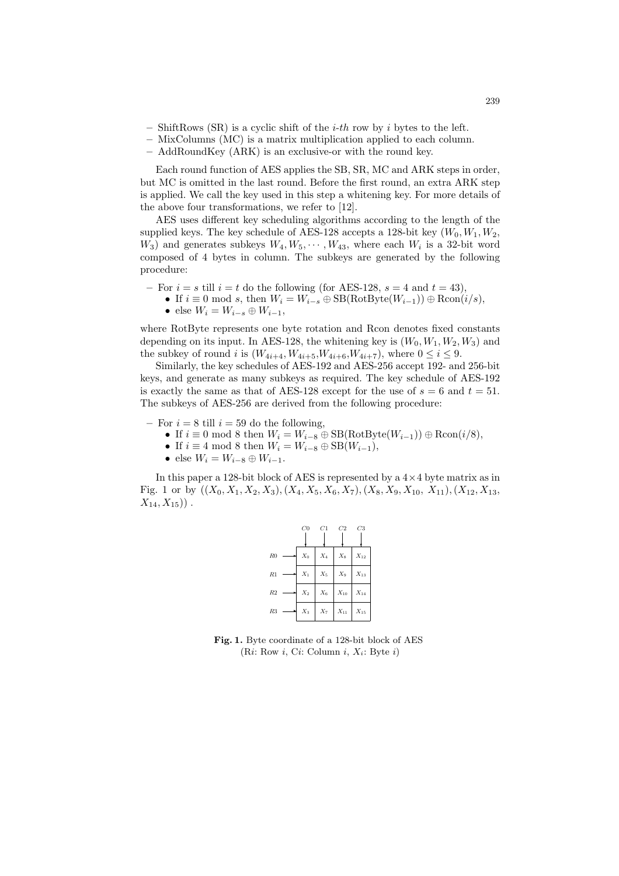- ShiftRows (SR) is a cyclic shift of the *i-th* row by *i* bytes to the left.
- MixColumns (MC) is a matrix multiplication applied to each column.
- AddRoundKey (ARK) is an exclusive-or with the round key.

Each round function of AES applies the SB, SR, MC and ARK steps in order, but MC is omitted in the last round. Before the first round, an extra ARK step is applied. We call the key used in this step a whitening key. For more details of the above four transformations, we refer to [12].

AES uses different key scheduling algorithms according to the length of the supplied keys. The key schedule of AES-128 accepts a 128-bit key  $(W_0, W_1, W_2,$  $W_3$ ) and generates subkeys  $W_4, W_5, \cdots, W_{43}$ , where each  $W_i$  is a 32-bit word composed of 4 bytes in column. The subkeys are generated by the following procedure:

- For  $i = s$  till  $i = t$  do the following (for AES-128,  $s = 4$  and  $t = 43$ ),
	- If  $i \equiv 0 \mod s$ , then  $W_i = \widetilde{W_{i-s} \oplus \text{SB}(\text{RotByte}(W_{i-1})) \oplus \text{Rcon}(i/s)$ ,
	- else  $W_i = W_{i-s} \oplus W_{i-1}$ ,

where RotByte represents one byte rotation and Rcon denotes fixed constants depending on its input. In AES-128, the whitening key is  $(W_0, W_1, W_2, W_3)$  and the subkey of round *i* is  $(W_{4i+4}, W_{4i+5}, W_{4i+6}, W_{4i+7})$ , where  $0 \le i \le 9$ .

Similarly, the key schedules of AES-192 and AES-256 accept 192- and 256-bit keys, and generate as many subkeys as required. The key schedule of AES-192 is exactly the same as that of AES-128 except for the use of  $s = 6$  and  $t = 51$ . The subkeys of AES-256 are derived from the following procedure:

– For  $i = 8$  till  $i = 59$  do the following,

- If  $i \equiv 0 \mod 8$  then  $W_i = W_{i-8} \oplus \text{SB}(\text{RotByte}(W_{i-1})) \oplus \text{Rcon}(i/8)$ ,
- If  $i \equiv 4 \mod 8$  then  $W_i = W_{i-8} \oplus SB(W_{i-1}),$
- else  $W_i = W_{i-8} \oplus W_{i-1}$ .

In this paper a 128-bit block of AES is represented by a  $4 \times 4$  byte matrix as in Fig. 1 or by  $((X_0, X_1, X_2, X_3), (X_4, X_5, X_6, X_7), (X_8, X_9, X_{10}, X_{11}), (X_{12}, X_{13},$  $X_{14}, X_{15})$ .

|                |       |                      | $C0 \quad C1 \quad C2$ | C <sub>3</sub>       |
|----------------|-------|----------------------|------------------------|----------------------|
| R0             | $X_0$ | $X_4$                | $X_8$                  | $\mid X_{12}\rangle$ |
| R1             | $X_1$ | $X_5$                | $X_9$                  | $X_{13}$             |
| R <sub>2</sub> | $X_2$ | $X_6$                | $X_{10}$               | $X_{14}$             |
| R3             |       | $X_3$ $X_7$ $X_{11}$ |                        | $X_{15}$             |

Fig. 1. Byte coordinate of a 128-bit block of AES  $(Ri: Row i, Ci: Column i, X_i: Byte i)$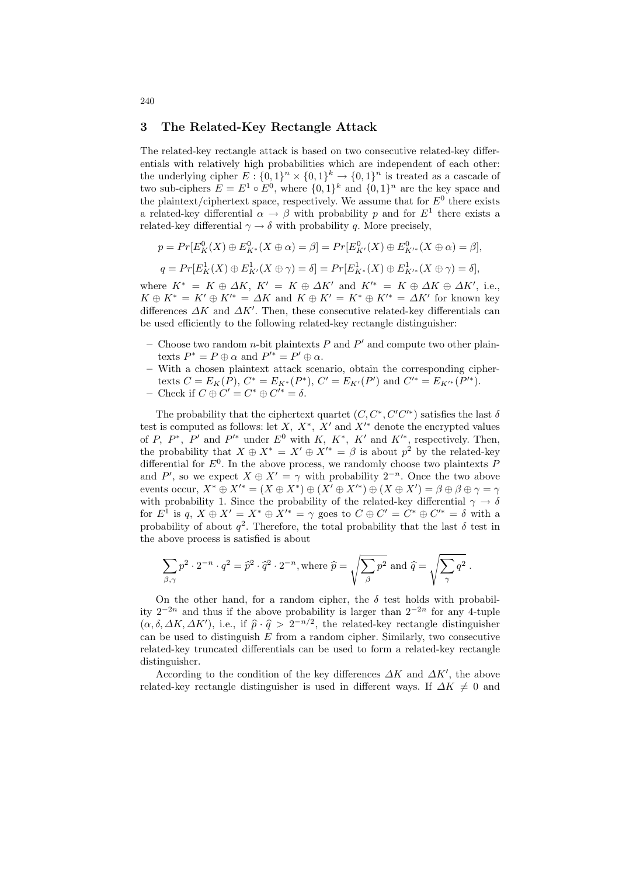### 3 The Related-Key Rectangle Attack

The related-key rectangle attack is based on two consecutive related-key differentials with relatively high probabilities which are independent of each other: the underlying cipher  $E: \{0,1\}^n \times \{0,1\}^k \to \{0,1\}^n$  is treated as a cascade of two sub-ciphers  $E = E^1 \circ E^0$ , where  $\{0,1\}^k$  and  $\{0,1\}^n$  are the key space and the plaintext/ciphertext space, respectively. We assume that for  $E^0$  there exists a related-key differential  $\alpha \to \beta$  with probability p and for  $E^1$  there exists a related-key differential  $\gamma \rightarrow \delta$  with probability q. More precisely,

$$
p = Pr[E_K^0(X) \oplus E_{K^*}^0(X \oplus \alpha) = \beta] = Pr[E_{K'}^0(X) \oplus E_{K'^*}^0(X \oplus \alpha) = \beta],
$$
  

$$
q = Pr[E_K^1(X) \oplus E_{K'}^1(X \oplus \gamma) = \delta] = Pr[E_{K^*}^1(X) \oplus E_{K'^*}^1(X \oplus \gamma) = \delta],
$$

where  $K^* = K \oplus \Delta K$ ,  $K' = K \oplus \Delta K'$  and  $K'^* = K \oplus \Delta K \oplus \Delta K'$ , i.e.,  $K \oplus K^* = K' \oplus K'^* = \Delta K$  and  $K \oplus K' = K^* \oplus K'^* = \Delta K'$  for known key differences  $\Delta K$  and  $\Delta K'$ . Then, these consecutive related-key differentials can be used efficiently to the following related-key rectangle distinguisher:

- Choose two random *n*-bit plaintexts  $P$  and  $P'$  and compute two other plaintexts  $P^* = P \oplus \alpha$  and  $P'^* = P' \oplus \alpha$ .
- With a chosen plaintext attack scenario, obtain the corresponding ciphertexts  $C = E_K(P)$ ,  $C^* = E_{K^*}(P^*)$ ,  $C' = E_{K'}(P')$  and  $C'^* = E_{K'^*}(P'^*)$ .
- $-$  Check if  $C \oplus C' = C^* \oplus C'^* = \delta$ .

The probability that the ciphertext quartet  $(C, C^*, C'C'^*)$  satisfies the last  $\delta$ test is computed as follows: let X,  $X^*$ ,  $X'$  and  $X'^*$  denote the encrypted values of P,  $P^*$ , P' and  $P'^*$  under  $E^0$  with K,  $K^*$ ,  $K'$  and  $K'^*$ , respectively. Then, the probability that  $X \oplus X^* = X' \oplus X'^* = \beta$  is about  $p^2$  by the related-key differential for  $E^0$ . In the above process, we randomly choose two plaintexts  $P$ and P', so we expect  $X \oplus X' = \gamma$  with probability  $2^{-n}$ . Once the two above events occur,  $X^* \oplus X'^* = (X \oplus X^*) \oplus (X' \oplus X'^*) \oplus (X \oplus X') = \beta \oplus \beta \oplus \gamma = \gamma$ with probability 1. Since the probability of the related-key differential  $\gamma \to \delta$ for  $E^1$  is  $q, X \oplus X' = X^* \oplus X'^* = \gamma$  goes to  $C \oplus C' = C^* \oplus C'^* = \delta$  with a probability of about  $q^2$ . Therefore, the total probability that the last  $\delta$  test in the above process is satisfied is about

$$
\sum_{\beta,\gamma} p^2 \cdot 2^{-n} \cdot q^2 = \hat{p}^2 \cdot \hat{q}^2 \cdot 2^{-n}, \text{where } \hat{p} = \sqrt{\sum_{\beta} p^2} \text{ and } \hat{q} = \sqrt{\sum_{\gamma} q^2}.
$$

On the other hand, for a random cipher, the  $\delta$  test holds with probability  $2^{-2n}$  and thus if the above probability is larger than  $2^{-2n}$  for any 4-tuple  $(\alpha, \delta, \Delta K, \Delta K')$ , i.e., if  $\hat{p} \cdot \hat{q} > 2^{-n/2}$ , the related-key rectangle distinguisher can be used to distinguish  $E$  from a random cipher. Similarly, two consecutive related-key truncated differentials can be used to form a related-key rectangle distinguisher.

According to the condition of the key differences  $\Delta K$  and  $\Delta K'$ , the above related-key rectangle distinguisher is used in different ways. If  $\Delta K \neq 0$  and

240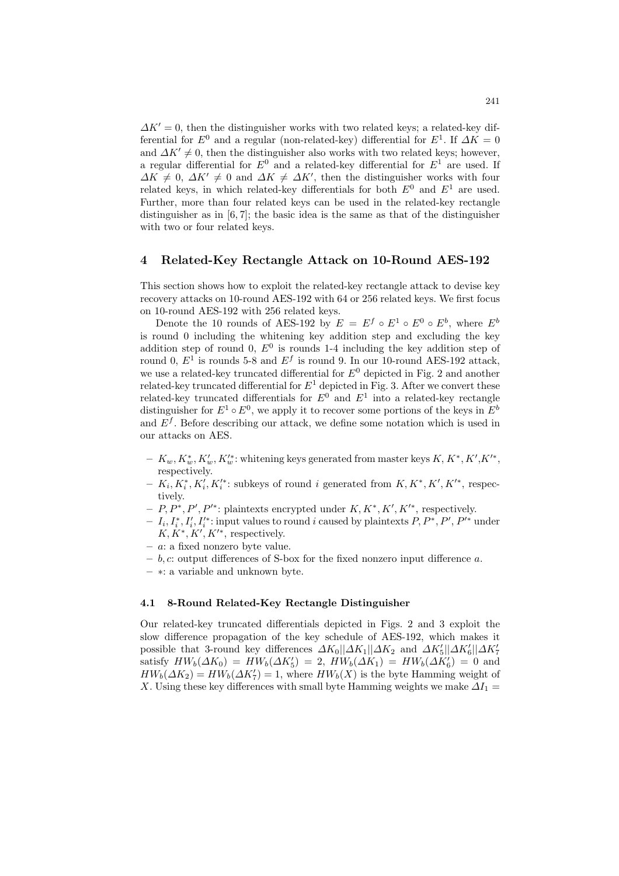$\Delta K' = 0$ , then the distinguisher works with two related keys; a related-key differential for  $E^0$  and a regular (non-related-key) differential for  $E^1$ . If  $\Delta K = 0$ and  $\Delta K' \neq 0$ , then the distinguisher also works with two related keys; however, a regular differential for  $E^0$  and a related-key differential for  $E^1$  are used. If  $\Delta K \neq 0$ ,  $\Delta K' \neq 0$  and  $\Delta K \neq \Delta K'$ , then the distinguisher works with four related keys, in which related-key differentials for both  $E^0$  and  $E^1$  are used. Further, more than four related keys can be used in the related-key rectangle distinguisher as in  $[6, 7]$ ; the basic idea is the same as that of the distinguisher with two or four related keys.

#### 4 Related-Key Rectangle Attack on 10-Round AES-192

This section shows how to exploit the related-key rectangle attack to devise key recovery attacks on 10-round AES-192 with 64 or 256 related keys. We first focus on 10-round AES-192 with 256 related keys.

Denote the 10 rounds of AES-192 by  $E = E^f \circ E^1 \circ E^0 \circ E^b$ , where  $E^b$ is round 0 including the whitening key addition step and excluding the key addition step of round 0,  $E^0$  is rounds 1-4 including the key addition step of round 0,  $E^1$  is rounds 5-8 and  $E^f$  is round 9. In our 10-round AES-192 attack, we use a related-key truncated differential for  $E^0$  depicted in Fig. 2 and another related-key truncated differential for  $E^1$  depicted in Fig. 3. After we convert these related-key truncated differentials for  $E^0$  and  $E^1$  into a related-key rectangle distinguisher for  $E^1 \circ E^0$ , we apply it to recover some portions of the keys in  $E^b$ and  $E<sup>f</sup>$ . Before describing our attack, we define some notation which is used in our attacks on AES.

- $K_w, K_w^*, K_w', K_w'^*$ : whitening keys generated from master keys  $K, K^*, K', K'^*,$ respectively.
- $K_i, K_i^*, K_i', K_i'^*$ : subkeys of round i generated from  $K, K^*, K', K'^*$ , respectively.
- $-P, P^*, P', P'^*$ : plaintexts encrypted under  $K, K^*, K', K'^*$ , respectively.
- $-I_i, I_i^*, I_i', I_i'^*$ : input values to round i caused by plaintexts  $P, P^*, P', P'^*$  under  $K, K^*, K', K'^*,$  respectively.
- $-$  a: a fixed nonzero byte value.
- $b$ , c: output differences of S-box for the fixed nonzero input difference a.
- ∗: a variable and unknown byte.

#### 4.1 8-Round Related-Key Rectangle Distinguisher

Our related-key truncated differentials depicted in Figs. 2 and 3 exploit the slow difference propagation of the key schedule of AES-192, which makes it possible that 3-round key differences  $\Delta K_0 ||\Delta K_1 || \Delta K_2$  and  $\Delta K_5' ||\Delta K_6' || \Delta K_7'$ satisfy  $HW_b(\Delta K_0) = HW_b(\Delta K_5') = 2$ ,  $HW_b(\Delta K_1) = HW_b(\Delta K_6') = 0$  and  $HW_b(\Delta K_2) = HW_b(\Delta K_7') = 1$ , where  $HW_b(X)$  is the byte Hamming weight of X. Using these key differences with small byte Hamming weights we make  $\Delta I_1 =$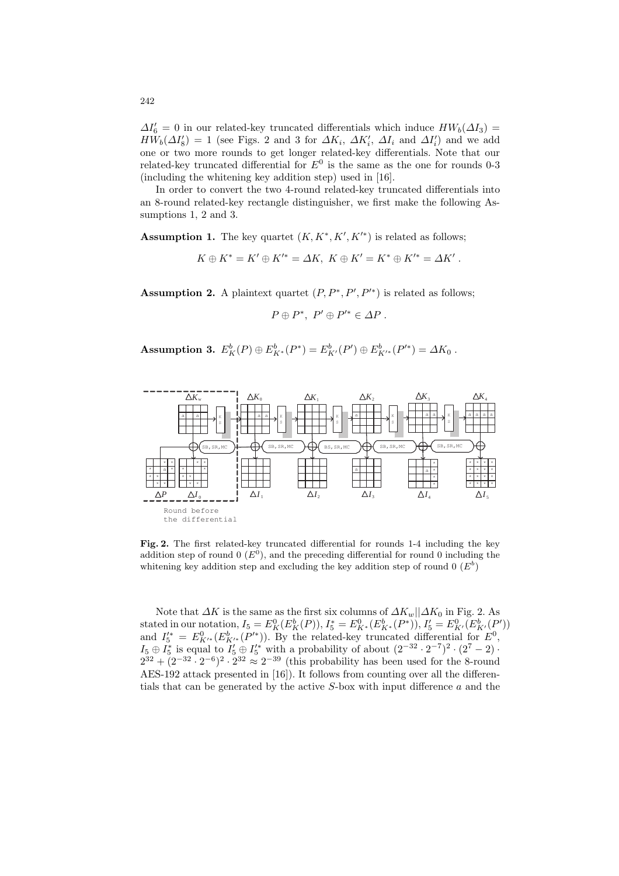$\Delta I_6' = 0$  in our related-key truncated differentials which induce  $HW_b(\Delta I_3)$  =  $HW_b(\Delta I_8') = 1$  (see Figs. 2 and 3 for  $\Delta K_i$ ,  $\Delta K_i'$ ,  $\Delta I_i$  and  $\Delta I_i'$ ) and we add one or two more rounds to get longer related-key differentials. Note that our related-key truncated differential for  $E^0$  is the same as the one for rounds 0-3 (including the whitening key addition step) used in [16].

In order to convert the two 4-round related-key truncated differentials into an 8-round related-key rectangle distinguisher, we first make the following Assumptions 1, 2 and 3.

**Assumption 1.** The key quartet  $(K, K^*, K', K'^*)$  is related as follows;

$$
K \oplus K^* = K' \oplus K'^* = \Delta K, \ K \oplus K' = K^* \oplus K'^* = \Delta K'.
$$

**Assumption 2.** A plaintext quartet  $(P, P^*, P', P'^*)$  is related as follows;

$$
P \oplus P^*, \ P' \oplus P'^* \in \Delta P \ .
$$

Assumption 3.  $E^b_K(P) \oplus E^b_{K^*}(P^*) = E^b_{K'}(P') \oplus E^b_{K'^*}(P'^*) = \Delta K_0$ .



Fig. 2. The first related-key truncated differential for rounds 1-4 including the key addition step of round  $0 \ (E^0)$ , and the preceding differential for round 0 including the whitening key addition step and excluding the key addition step of round  $0 \ (E^b)$ 

Note that  $\Delta K$  is the same as the first six columns of  $\Delta K_w || \Delta K_0$  in Fig. 2. As stated in our notation,  $I_5 = E_K^0(E_K^b(P)), I_5^* = E_{K^*}^0(E_{K^*}^b(P^*)), I_5' = E_{K'}^0(E_{K'}^b(P'))$ and  $I_5^{\prime *} = E_{K^{\prime *}}^0(E_{K^{\prime *}}^b(P^{\prime *}))$ . By the related-key truncated differential for  $E^0$ ,  $I_5 \oplus I_5^*$  is equal to  $I'_5 \oplus I_5'^*$  with a probability of about  $(2^{-32} \cdot 2^{-7})^2 \cdot (2^7 - 2)$ .  $2^{32} + (2^{-32} \cdot 2^{-6})^2 \cdot 2^{32} \approx 2^{-39}$  (this probability has been used for the 8-round AES-192 attack presented in [16]). It follows from counting over all the differentials that can be generated by the active  $S$ -box with input difference  $a$  and the

242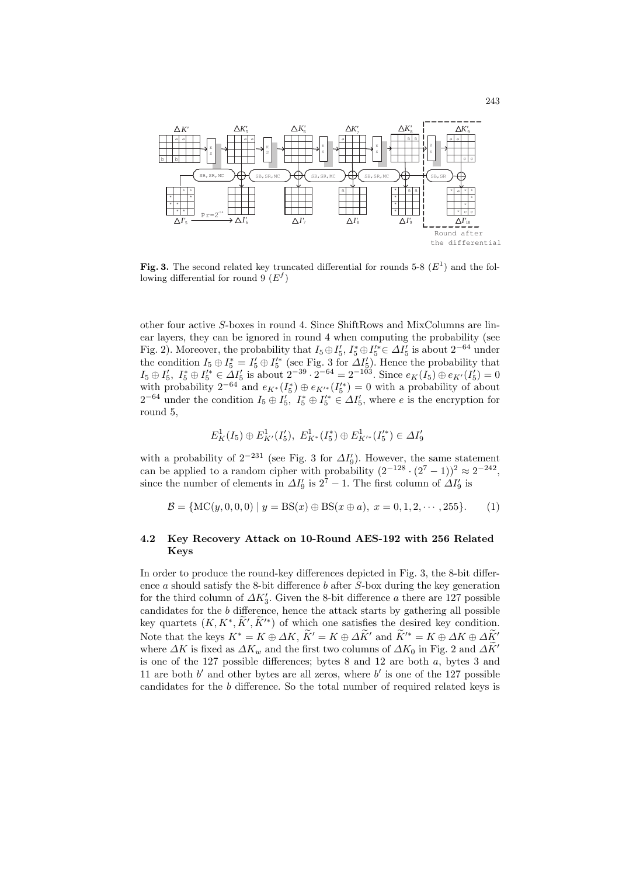

Fig. 3. The second related key truncated differential for rounds 5-8  $(E^1)$  and the following differential for round 9  $(E^f)$ 

other four active S-boxes in round 4. Since ShiftRows and MixColumns are linear layers, they can be ignored in round 4 when computing the probability (see Fig. 2). Moreover, the probability that  $I_5 \oplus I_5'$ ,  $I_5^* \oplus I_5'^* \in \Delta I_5'$  is about  $2^{-64}$  under the condition  $I_5 \oplus I_5^* = I_5' \oplus I_5'^*$  (see Fig. 3 for  $\Delta I_5'$ ). Hence the probability that  $I_5 \oplus I_5'$ ,  $I_5^* \oplus I_5'^* \in \Delta I_5'$  is about  $2^{-39} \cdot 2^{-64} = 2^{-103}$ . Since  $e_K(I_5) \oplus e_{K'}(I_5') = 0$ with probability  $2^{-64}$  and  $e_{K^*}(I_5^*) \oplus e_{K'^*}(I_5'^*) = 0$  with a probability of about  $2^{-64}$  under the condition  $I_5 \oplus I_5'$ ,  $I_5^* \oplus I_5'^* \in \Delta I_5'$ , where e is the encryption for round 5,

$$
E_K^1(I_5) \oplus E_{K'}^1(I'_5), \ E_{K^*}^1(I''_5) \oplus E_{K'^*}^1(I'^*_5) \in \Delta I'_9
$$

with a probability of  $2^{-231}$  (see Fig. 3 for  $\Delta I_9'$ ). However, the same statement can be applied to a random cipher with probability  $(2^{-128} \cdot (2^7 - 1))^2 \approx 2^{-242}$ , since the number of elements in  $\Delta I_9'$  is  $2^7 - 1$ . The first column of  $\Delta I_9'$  is

$$
\mathcal{B} = \{ \text{MC}(y, 0, 0, 0) \mid y = \text{BS}(x) \oplus \text{BS}(x \oplus a), \ x = 0, 1, 2, \cdots, 255 \}. \tag{1}
$$

#### 4.2 Key Recovery Attack on 10-Round AES-192 with 256 Related Keys

In order to produce the round-key differences depicted in Fig. 3, the 8-bit difference  $\alpha$  should satisfy the 8-bit difference  $\bar{b}$  after S-box during the key generation for the third column of  $\Delta K_3'$ . Given the 8-bit difference a there are 127 possible candidates for the  $b$  difference, hence the attack starts by gathering all possible key quartets  $(K, K^*, \widetilde{K}', \widetilde{K}'^*)$  of which one satisfies the desired key condition. Note that the keys  $K^* = K \oplus \Delta K$ ,  $\widetilde{K}' = K \oplus \Delta \widetilde{K}'$  and  $\widetilde{K}'' = K \oplus \Delta K \oplus \Delta \widetilde{K}''$ where  $\Delta K$  is fixed as  $\Delta K_w$  and the first two columns of  $\Delta K_0$  in Fig. 2 and  $\Delta \widetilde{K}$ <sup>'</sup> is one of the 127 possible differences; bytes 8 and 12 are both a, bytes 3 and 11 are both  $b'$  and other bytes are all zeros, where  $b'$  is one of the 127 possible candidates for the b difference. So the total number of required related keys is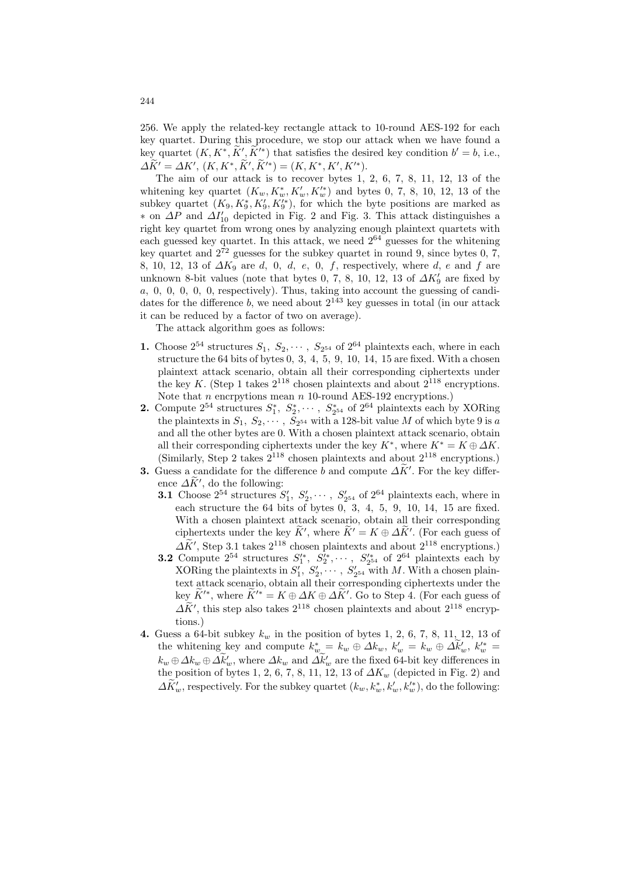256. We apply the related-key rectangle attack to 10-round AES-192 for each key quartet. During this procedure, we stop our attack when we have found a key quartet  $(K, K^*, \widetilde{K}', \widetilde{K}'^*)$  that satisfies the desired key condition  $b' = b$ , i.e.,  $\Delta \widetilde{K}^{\prime} = \Delta K^{\prime}, (K, K^*, \widetilde{K}^{\prime}, \widetilde{K}^{\prime *}) = (K, K^*, K^{\prime}, K^{\prime *}).$ 

The aim of our attack is to recover bytes 1, 2, 6, 7, 8, 11, 12, 13 of the whitening key quartet  $(K_w, K_w^*, K_w', K_w'^*)$  and bytes 0, 7, 8, 10, 12, 13 of the subkey quartet  $(K_9, K_9^*, K_9', K_9'^*)$ , for which the byte positions are marked as  $*$  on  $\Delta P$  and  $\Delta I'_{10}$  depicted in Fig. 2 and Fig. 3. This attack distinguishes a right key quartet from wrong ones by analyzing enough plaintext quartets with each guessed key quartet. In this attack, we need 2 <sup>64</sup> guesses for the whitening key quartet and  $2^{72}$  guesses for the subkey quartet in round 9, since bytes 0, 7, 8, 10, 12, 13 of  $\Delta K_9$  are d, 0, d, e, 0, f, respectively, where d, e and f are unknown 8-bit values (note that bytes 0, 7, 8, 10, 12, 13 of  $\Delta K_9'$  are fixed by  $a, 0, 0, 0, 0, 0$ , respectively). Thus, taking into account the guessing of candidates for the difference b, we need about  $2^{143}$  key guesses in total (in our attack it can be reduced by a factor of two on average).

The attack algorithm goes as follows:

- **1.** Choose  $2^{54}$  structures  $S_1, S_2, \cdots, S_{2^{54}}$  of  $2^{64}$  plaintexts each, where in each structure the 64 bits of bytes 0, 3, 4, 5, 9, 10, 14, 15 are fixed. With a chosen plaintext attack scenario, obtain all their corresponding ciphertexts under the key K. (Step 1 takes  $2^{118}$  chosen plaintexts and about  $2^{118}$  encryptions. Note that  $n$  encryptions mean  $n$  10-round AES-192 encryptions.)
- **2.** Compute  $2^{54}$  structures  $S_1^*, S_2^*, \cdots, S_{2^{54}}^*$  of  $2^{64}$  plaintexts each by XORing the plaintexts in  $S_1, S_2, \cdots, S_{2^{54}}$  with a 128-bit value M of which byte 9 is a and all the other bytes are 0. With a chosen plaintext attack scenario, obtain all their corresponding ciphertexts under the key  $K^*$ , where  $K^* = K \oplus \Delta K$ . (Similarly, Step 2 takes  $2^{118}$  chosen plaintexts and about  $2^{118}$  encryptions.)
- **3.** Guess a candidate for the difference b and compute  $\Delta \tilde{K}'$ . For the key difference  $\Delta \widetilde{K}'$ , do the following:
	- **3.1** Choose  $2^{54}$  structures  $S'_1$ ,  $S'_2, \cdots$ ,  $S'_{2^{54}}$  of  $2^{64}$  plaintexts each, where in each structure the 64 bits of bytes 0, 3, 4, 5, 9, 10, 14, 15 are fixed. With a chosen plaintext attack scenario, obtain all their corresponding ciphertexts under the key  $\widetilde{K}'$ , where  $\widetilde{K}' = K \oplus \Delta \widetilde{K}'$ . (For each guess of  $\Delta \tilde{K}'$ , Step 3.1 takes  $2^{118}$  chosen plaintexts and about  $2^{118}$  encryptions.)
	- **3.2** Compute  $2^{54}$  structures  $S_1^{\prime *}, S_2^{\prime *}, \cdots, S_{2^{54}}^{\prime *}$  of  $2^{64}$  plaintexts each by XORing the plaintexts in  $S'_1, S'_2, \cdots, S'_{2^{54}}$  with M. With a chosen plaintext attack scenario, obtain all their corresponding ciphertexts under the key  $\widetilde{K}^{\prime*}$ , where  $\widetilde{K}^{\prime*} = K \oplus \Delta K \oplus \Delta \widetilde{K}^{\prime}$ . Go to Step 4. (For each guess of  $\Delta \widetilde{K}'$ , this step also takes  $2^{118}$  chosen plaintexts and about  $2^{118}$  encryptions.)
- **4.** Guess a 64-bit subkey  $k_w$  in the position of bytes 1, 2, 6, 7, 8, 11, 12, 13 of the whitening key and compute  $k_w^* = k_w \oplus \Delta k_w$ ,  $k_w' = k_w \oplus \Delta \widetilde{k}_w'$ ,  $k_w'^* =$  $k_w \oplus \Delta k_w \oplus \Delta \widetilde{k}'_w$ , where  $\Delta k_w$  and  $\Delta \widetilde{k}'_w$  are the fixed 64-bit key differences in the position of bytes 1, 2, 6, 7, 8, 11, 12, 13 of  $\Delta K_w$  (depicted in Fig. 2) and  $\Delta \widetilde{K}'_w$ , respectively. For the subkey quartet  $(k_w, k_w^*, k'_w, k'^*_w)$ , do the following: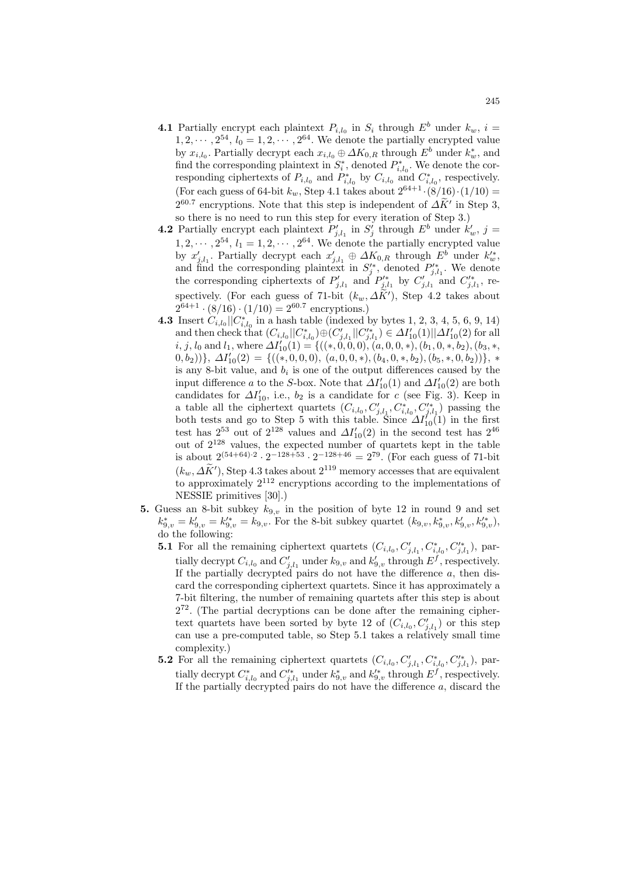- **4.1** Partially encrypt each plaintext  $P_{i,l_0}$  in  $S_i$  through  $E^b$  under  $k_w$ ,  $i =$  $1, 2, \cdots, 2^{54}, l_0 = 1, 2, \cdots, 2^{64}$ . We denote the partially encrypted value by  $x_{i,l_0}$ . Partially decrypt each  $x_{i,l_0} \oplus \Delta K_{0,R}$  through  $E^b$  under  $k_w^*$ , and find the corresponding plaintext in  $S_i^*$ , denoted  $P_{i,l_0}^*$ . We denote the corresponding ciphertexts of  $P_{i,l_0}$  and  $P_{i,l_0}^*$  by  $C_{i,l_0}$  and  $C_{i,l_0}^*$ , respectively. (For each guess of 64-bit  $k_w$ , Step 4.1 takes about  $2^{64+1} \cdot (8/16) \cdot (1/10) =$  $2^{60.7}$  encryptions. Note that this step is independent of  $\Delta \widetilde{K}$ ' in Step 3, so there is no need to run this step for every iteration of Step 3.)
- **4.2** Partially encrypt each plaintext  $P'_{j,l_1}$  in  $S'_j$  through  $E^b$  under  $k'_w$ ,  $j =$  $1, 2, \cdots, 2^{54}, l_1 = 1, 2, \cdots, 2^{64}$ . We denote the partially encrypted value by  $x'_{j,l_1}$ . Partially decrypt each  $x'_{j,l_1} \oplus \Delta K_{0,R}$  through  $E^b$  under  $k''_w$ , and find the corresponding plaintext in  $S_j^{\prime *}$ , denoted  $P_{j,l_1}^{\prime *}$ . We denote the corresponding ciphertexts of  $P'_{j,l_1}$  and  $P'^*_{j,l_1}$  by  $C'_{j,l_1}$  and  $C'^*_{j,l_1}$ , respectively. (For each guess of 71-bit  $(k_w, \Delta \tilde{K}')$ , Step 4.2 takes about  $2^{64+1} \cdot (8/16) \cdot (1/10) = 2^{60.7}$  encryptions.)
- **4.3** Insert  $C_{i,l_0}$  | $|C_{i,l_0}^*|$  in a hash table (indexed by bytes 1, 2, 3, 4, 5, 6, 9, 14) and then check that  $(C_{i,l_0}||C^*_{i,l_0})\oplus (C'_{j,l_1}||C'^*_{j,l_1}) \in \Delta I'_{10}(1)||\Delta I'_{10}(2)$  for all *i*, *j*, *l*<sub>0</sub> and *l*<sub>1</sub>, where  $\Delta I'_{10}(1) = \{((*,0,0,0), (a,0,0,*)), (b_1, 0,*, b_2), (b_3,*,$  $(0, b_2))\}, \ \Delta I_{10}'(2) = \{((*, 0, 0, 0), (a, 0, 0, *), (b_4, 0, *, b_2), (b_5, *, 0, b_2))\},\ *$ is any 8-bit value, and  $b_i$  is one of the output differences caused by the input difference a to the S-box. Note that  $\Delta I'_{10}(1)$  and  $\Delta I'_{10}(2)$  are both candidates for  $\Delta I'_{10}$ , i.e.,  $b_2$  is a candidate for c (see Fig. 3). Keep in a table all the ciphertext quartets  $(C_{i,l_0}, C'_{j,l_1}, C^*_{i,l_0}, C'^*_{j,l_1})$  passing the both tests and go to Step 5 with this table. Since  $\Delta I_{10}'(1)$  in the first test has  $2^{53}$  out of  $2^{128}$  values and  $\Delta I'_{10}(2)$  in the second test has  $2^{46}$ out of  $2^{128}$  values, the expected number of quartets kept in the table is about  $2^{(54+64)\cdot 2} \cdot 2^{-128+53} \cdot 2^{-128+46} = 2^{79}$ . (For each guess of 71-bit  $(k_w, \Delta \widetilde{K}^{\prime})$ , Step 4.3 takes about  $2^{119}$  memory accesses that are equivalent to approximately  $2^{112}$  encryptions according to the implementations of NESSIE primitives [30].)
- 5. Guess an 8-bit subkey  $k_{9,v}$  in the position of byte 12 in round 9 and set  $k_{9,v}^* = k_{9,v}' = k_{9,v}^* = k_{9,v}$ . For the 8-bit subkey quartet  $(k_{9,v}, k_{9,v}^*, k_{9,v}', k_{9,v}'')$ , do the following:
	- **5.1** For all the remaining ciphertext quartets  $(C_{i,l_0}, C'_{j,l_1}, C^*_{i,l_0}, C''_{j,l_1})$ , partially decrypt  $C_{i,l_0}$  and  $C'_{j,l_1}$  under  $k_{9,v}$  and  $k'_{9,v}$  through  $E^f$ , respectively. If the partially decrypted pairs do not have the difference  $a$ , then discard the corresponding ciphertext quartets. Since it has approximately a 7-bit filtering, the number of remaining quartets after this step is about 2 <sup>72</sup>. (The partial decryptions can be done after the remaining ciphertext quartets have been sorted by byte 12 of  $(C_{i,l_0}, C'_{j,l_1})$  or this step can use a pre-computed table, so Step 5.1 takes a relatively small time complexity.)
	- **5.2** For all the remaining ciphertext quartets  $(C_{i,l_0}, C'_{j,l_1}, C^*_{i,l_0}, C'^*_{j,l_1})$ , partially decrypt  $C_{i,l_0}^*$  and  $C_{j,l_1}^*$  under  $k_{9,v}^*$  and  $k_{9,v}^*$  through  $E^f$ , respectively. If the partially decrypted pairs do not have the difference a, discard the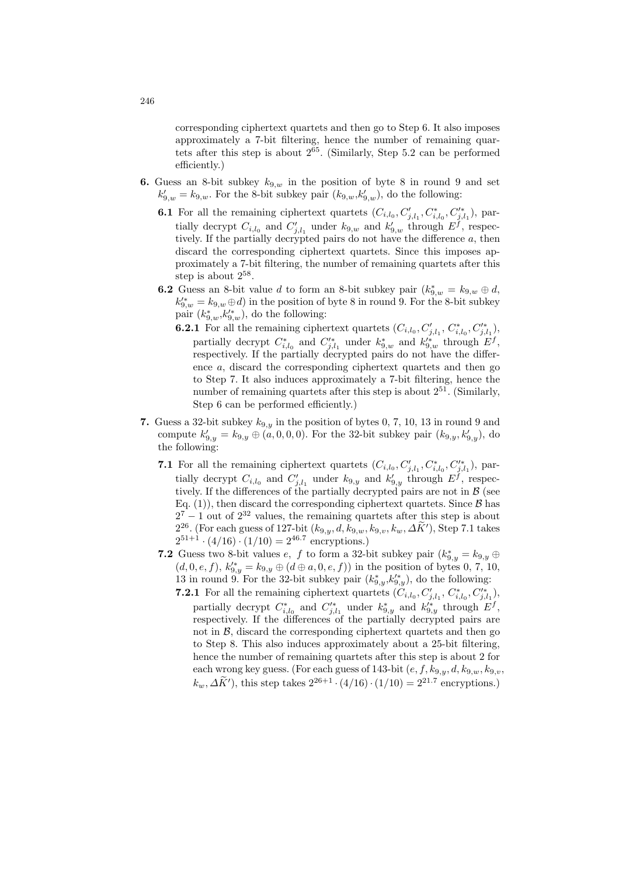corresponding ciphertext quartets and then go to Step 6. It also imposes approximately a 7-bit filtering, hence the number of remaining quartets after this step is about  $2^{65}$ . (Similarly, Step 5.2 can be performed efficiently.)

- **6.** Guess an 8-bit subkey  $k_{9,w}$  in the position of byte 8 in round 9 and set  $k'_{9,w} = k_{9,w}$ . For the 8-bit subkey pair  $(k_{9,w}, k'_{9,w})$ , do the following:
	- **6.1** For all the remaining ciphertext quartets  $(C_{i,l_0}, C'_{j,l_1}, C^*_{i,l_0}, C'^*_{j,l_1})$ , partially decrypt  $C_{i,l_0}$  and  $C'_{j,l_1}$  under  $k_{9,w}$  and  $k'_{9,w}$  through  $E^f$ , respectively. If the partially decrypted pairs do not have the difference  $a$ , then discard the corresponding ciphertext quartets. Since this imposes approximately a 7-bit filtering, the number of remaining quartets after this step is about  $2^{58}$ .
	- **6.2** Guess an 8-bit value d to form an 8-bit subkey pair  $(k_{9,w}^* = k_{9,w} \oplus d,$  $k_{9,w}^{\prime *} = k_{9,w} \oplus d$  in the position of byte 8 in round 9. For the 8-bit subkey pair  $(k_{9,w}^*, k_{9,w}^{\prime *})$ , do the following:
		- **6.2.1** For all the remaining ciphertext quartets  $(C_{i,l_0}, C'_{j,l_1}, C^*_{i,l_0}, C''_{j,l_1}),$ partially decrypt  $C_{i,l_0}^*$  and  $C_{j,l_1}^*$  under  $k_{9,w}^*$  and  $k_{9,w}^{\prime*}$  through  $E^f$ , respectively. If the partially decrypted pairs do not have the difference a, discard the corresponding ciphertext quartets and then go to Step 7. It also induces approximately a 7-bit filtering, hence the number of remaining quartets after this step is about  $2^{51}$ . (Similarly, Step 6 can be performed efficiently.)
- 7. Guess a 32-bit subkey  $k_{9,y}$  in the position of bytes 0, 7, 10, 13 in round 9 and compute  $k'_{9,y} = k_{9,y} \oplus (a, 0, 0, 0)$ . For the 32-bit subkey pair  $(k_{9,y}, k'_{9,y})$ , do the following:
	- 7.1 For all the remaining ciphertext quartets  $(C_{i,l_0}, C'_{j,l_1}, C^*_{i,l_0}, C'^*_{j,l_1})$ , partially decrypt  $C_{i,l_0}$  and  $C'_{j,l_1}$  under  $k_{9,y}$  and  $k'_{9,y}$  through  $E^f$ , respectively. If the differences of the partially decrypted pairs are not in  $\beta$  (see Eq. (1)), then discard the corresponding ciphertext quartets. Since  $B$  has  $2^7 - 1$  out of  $2^{32}$  values, the remaining quartets after this step is about 2<sup>26</sup>. (For each guess of 127-bit  $(k_{9,y}, d, k_{9,w}, k_{9,v}, k_w, \Delta \widetilde{K}')$ , Step 7.1 takes  $2^{51+1} \cdot (4/16) \cdot (1/10) = 2^{46.7}$  encryptions.)
	- 7.2 Guess two 8-bit values e, f to form a 32-bit subkey pair  $(k_{9,y}^* = k_{9,y} \oplus$  $(d, 0, e, f), k_{9,y}^{\prime *} = k_{9,y} \oplus (d \oplus a, 0, e, f))$  in the position of bytes 0, 7, 10, 13 in round 9. For the 32-bit subkey pair  $(k_{9,y}^*, k_{9,y}^*)$ , do the following:
		- **7.2.1** For all the remaining ciphertext quartets  $(C_{i,l_0}, C'_{j,l_1}, C^*_{i,l_0}, C''_{j,l_1}),$ partially decrypt  $C_{i,l_0}^*$  and  $C_{j,l_1}^*$  under  $k_{9,y}^*$  and  $k_{9,y}^{\prime *}$  through  $E^f$ , respectively. If the differences of the partially decrypted pairs are not in  $\beta$ , discard the corresponding ciphertext quartets and then go to Step 8. This also induces approximately about a 25-bit filtering, hence the number of remaining quartets after this step is about 2 for each wrong key guess. (For each guess of 143-bit  $(e, f, k_{9,y}, d, k_{9,w}, k_{9,v}, d, k_{9,w}, k_{9,w})$  $k_w, \Delta \tilde{K}$ , this step takes  $2^{26+1} \cdot (4/16) \cdot (1/10) = 2^{21.7}$  encryptions.)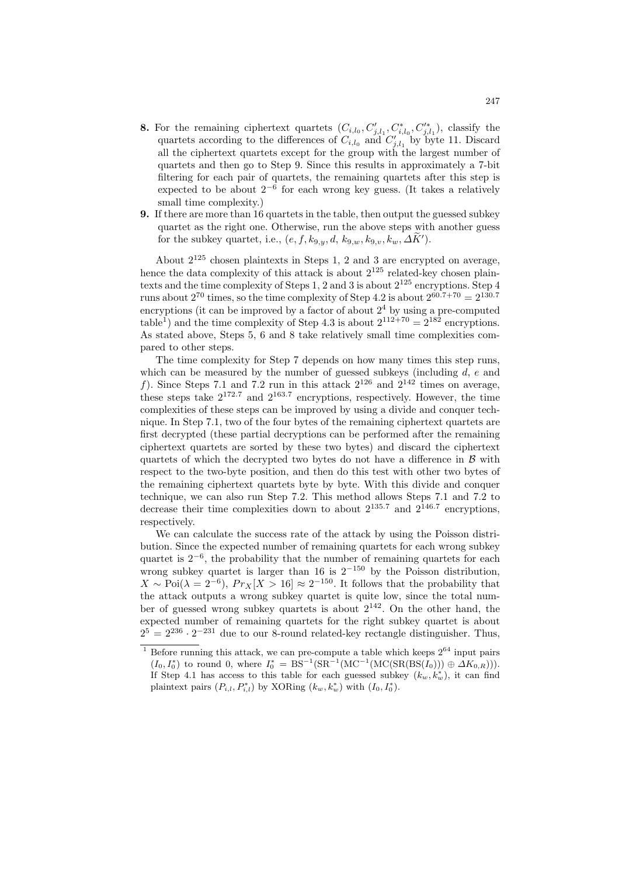- **8.** For the remaining ciphertext quartets  $(C_{i,l_0}, C'_{j,l_1}, C^*_{i,l_0}, C'^*_{j,l_1})$ , classify the quartets according to the differences of  $C_{i,l_0}$  and  $C'_{j,l_1}$  by byte 11. Discard all the ciphertext quartets except for the group with the largest number of quartets and then go to Step 9. Since this results in approximately a 7-bit filtering for each pair of quartets, the remaining quartets after this step is expected to be about  $2^{-6}$  for each wrong key guess. (It takes a relatively small time complexity.)
- 9. If there are more than 16 quartets in the table, then output the guessed subkey quartet as the right one. Otherwise, run the above steps with another guess for the subkey quartet, i.e.,  $(e, f, k_{9,y}, d, k_{9,w}, k_{9,v}, k_w, \Delta \widetilde{K}^{\prime})$ .

About  $2^{125}$  chosen plaintexts in Steps 1, 2 and 3 are encrypted on average, hence the data complexity of this attack is about  $2^{125}$  related-key chosen plaintexts and the time complexity of Steps 1, 2 and 3 is about 2<sup>125</sup> encryptions. Step 4 runs about  $2^{70}$  times, so the time complexity of Step 4.2 is about  $2^{60.7+70} = 2^{130.7}$ encryptions (it can be improved by a factor of about  $2<sup>4</sup>$  by using a pre-computed table<sup>1</sup>) and the time complexity of Step 4.3 is about  $2^{112+70} = 2^{182}$  encryptions. As stated above, Steps 5, 6 and 8 take relatively small time complexities compared to other steps.

The time complexity for Step 7 depends on how many times this step runs, which can be measured by the number of guessed subkeys (including  $d, e$  and f). Since Steps 7.1 and 7.2 run in this attack  $2^{126}$  and  $2^{142}$  times on average, these steps take  $2^{172.7}$  and  $2^{163.7}$  encryptions, respectively. However, the time complexities of these steps can be improved by using a divide and conquer technique. In Step 7.1, two of the four bytes of the remaining ciphertext quartets are first decrypted (these partial decryptions can be performed after the remaining ciphertext quartets are sorted by these two bytes) and discard the ciphertext quartets of which the decrypted two bytes do not have a difference in  $\beta$  with respect to the two-byte position, and then do this test with other two bytes of the remaining ciphertext quartets byte by byte. With this divide and conquer technique, we can also run Step 7.2. This method allows Steps 7.1 and 7.2 to decrease their time complexities down to about  $2^{135.7}$  and  $2^{146.7}$  encryptions, respectively.

We can calculate the success rate of the attack by using the Poisson distribution. Since the expected number of remaining quartets for each wrong subkey quartet is  $2^{-6}$ , the probability that the number of remaining quartets for each wrong subkey quartet is larger than 16 is  $2^{-150}$  by the Poisson distribution,  $X \sim \text{Poi}(\lambda = 2^{-6}), Pr_X[X > 16] \approx 2^{-150}$ . It follows that the probability that the attack outputs a wrong subkey quartet is quite low, since the total number of guessed wrong subkey quartets is about  $2^{142}$ . On the other hand, the expected number of remaining quartets for the right subkey quartet is about  $2^5 = 2^{236} \cdot 2^{-231}$  due to our 8-round related-key rectangle distinguisher. Thus,

Before running this attack, we can pre-compute a table which keeps  $2^{64}$  input pairs  $(I_0, I_0^*)$  to round 0, where  $I_0^* = BS^{-1}(SR^{-1}(MC^{-1}(MC(SR(BS(I_0))) \oplus \Delta K_{0,R}))).$ If Step 4.1 has access to this table for each guessed subkey  $(k_w, k_w^*)$ , it can find plaintext pairs  $(P_{i,l}, P_{i,l}^*)$  by XORing  $(k_w, k_w^*)$  with  $(I_0, I_0^*)$ .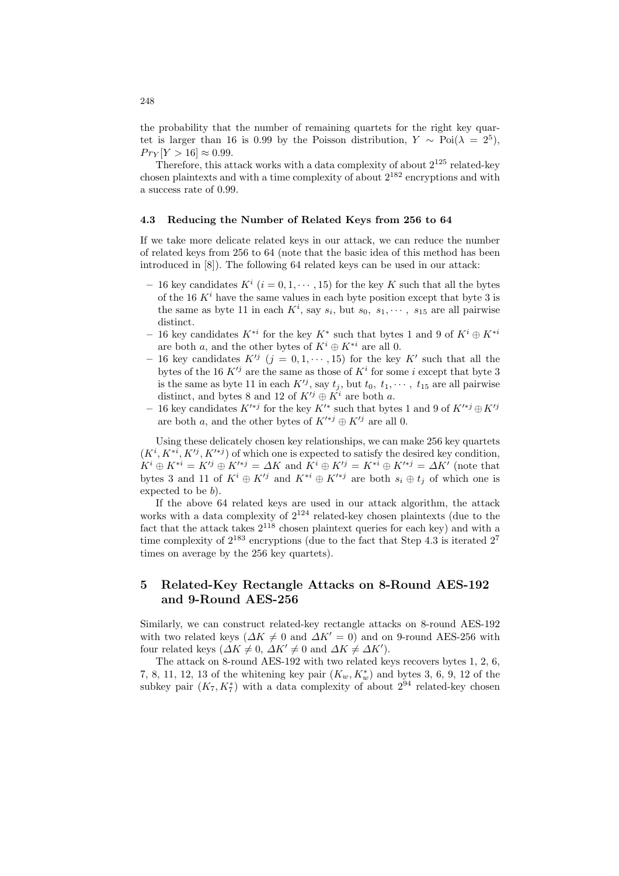the probability that the number of remaining quartets for the right key quartet is larger than 16 is 0.99 by the Poisson distribution,  $Y \sim \text{Poi}(\lambda = 2^5)$ ,  $Pr_Y[Y > 16] \approx 0.99.$ 

Therefore, this attack works with a data complexity of about  $2^{125}$  related-key chosen plaintexts and with a time complexity of about  $2^{182}$  encryptions and with a success rate of 0.99.

#### 4.3 Reducing the Number of Related Keys from 256 to 64

If we take more delicate related keys in our attack, we can reduce the number of related keys from 256 to 64 (note that the basic idea of this method has been introduced in [8]). The following 64 related keys can be used in our attack:

- 16 key candidates  $K^i$   $(i = 0, 1, \dots, 15)$  for the key K such that all the bytes of the 16  $K<sup>i</sup>$  have the same values in each byte position except that byte 3 is the same as byte 11 in each  $K^i$ , say  $s_i$ , but  $s_0$ ,  $s_1$ ,  $\cdots$ ,  $s_{15}$  are all pairwise distinct.
- $-16$  key candidates  $K^{*i}$  for the key  $K^*$  such that bytes 1 and 9 of  $K^i \oplus K^{*i}$ are both a, and the other bytes of  $K^i \oplus K^{*i}$  are all 0.
- 16 key candidates  $K^{ij}$   $(j = 0, 1, \dots, 15)$  for the key K' such that all the bytes of the 16  $K^{ij}$  are the same as those of  $K^i$  for some i except that byte 3 is the same as byte 11 in each  $K^{ij}$ , say  $t_j$ , but  $t_0, t_1, \dots, t_{15}$  are all pairwise distinct, and bytes 8 and 12 of  $K^{j} \oplus K^{i}$  are both a.
- $-16$  key candidates  $K'^{*j}$  for the key  $K'^{*}$  such that bytes 1 and 9 of  $K'^{*j} \oplus K'^{j}$ are both a, and the other bytes of  $K'^{*j} \oplus K'^{j}$  are all 0.

Using these delicately chosen key relationships, we can make 256 key quartets  $(K^i, K^{*i}, K'^j, K'^{*j})$  of which one is expected to satisfy the desired key condition,  $K^i \oplus K^{*i} = K'^j \oplus K'^{*j} = \Delta K$  and  $K^i \oplus K'^j = K^{*i} \oplus K'^{*j} = \Delta K'$  (note that bytes 3 and 11 of  $K^i \oplus K'^j$  and  $K^{*i} \oplus K'^{*j}$  are both  $s_i \oplus t_j$  of which one is expected to be b).

If the above 64 related keys are used in our attack algorithm, the attack works with a data complexity of  $2^{124}$  related-key chosen plaintexts (due to the fact that the attack takes  $2^{118}$  chosen plaintext queries for each key) and with a time complexity of  $2^{183}$  encryptions (due to the fact that Step 4.3 is iterated  $2^7$ times on average by the 256 key quartets).

# 5 Related-Key Rectangle Attacks on 8-Round AES-192 and 9-Round AES-256

Similarly, we can construct related-key rectangle attacks on 8-round AES-192 with two related keys ( $\Delta K \neq 0$  and  $\Delta K' = 0$ ) and on 9-round AES-256 with four related keys ( $\Delta K \neq 0$ ,  $\Delta K' \neq 0$  and  $\Delta K \neq \Delta K'$ ).

The attack on 8-round AES-192 with two related keys recovers bytes 1, 2, 6, 7, 8, 11, 12, 13 of the whitening key pair  $(K_w, K_w^*)$  and bytes 3, 6, 9, 12 of the subkey pair  $(K_7, K_7^*)$  with a data complexity of about  $2^{94}$  related-key chosen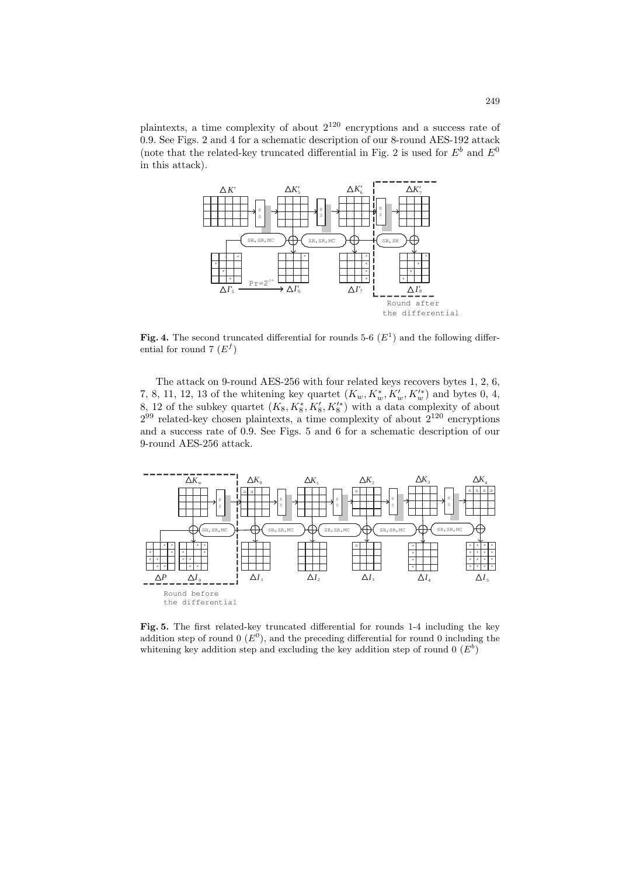plaintexts, a time complexity of about  $2^{120}$  encryptions and a success rate of 0.9. See Figs. 2 and 4 for a schematic description of our 8-round AES-192 attack (note that the related-key truncated differential in Fig. 2 is used for  $E^b$  and  $E^0$ in this attack).



Fig. 4. The second truncated differential for rounds 5-6  $(E^1)$  and the following differential for round 7  $(E^f)$ 

The attack on 9-round AES-256 with four related keys recovers bytes 1, 2, 6, 7, 8, 11, 12, 13 of the whitening key quartet  $(K_w, K_w^*, K_w', K_w'^*)$  and bytes 0, 4, 8, 12 of the subkey quartet  $(K_8, K_8^*, K_8', K_8'^*)$  with a data complexity of about  $2^{99}$  related-key chosen plaintexts, a time complexity of about  $2^{120}$  encryptions and a success rate of 0.9. See Figs. 5 and 6 for a schematic description of our 9-round AES-256 attack.



Fig. 5. The first related-key truncated differential for rounds 1-4 including the key addition step of round  $0 \ (E^0)$ , and the preceding differential for round 0 including the whitening key addition step and excluding the key addition step of round  $0 \ (E^b)$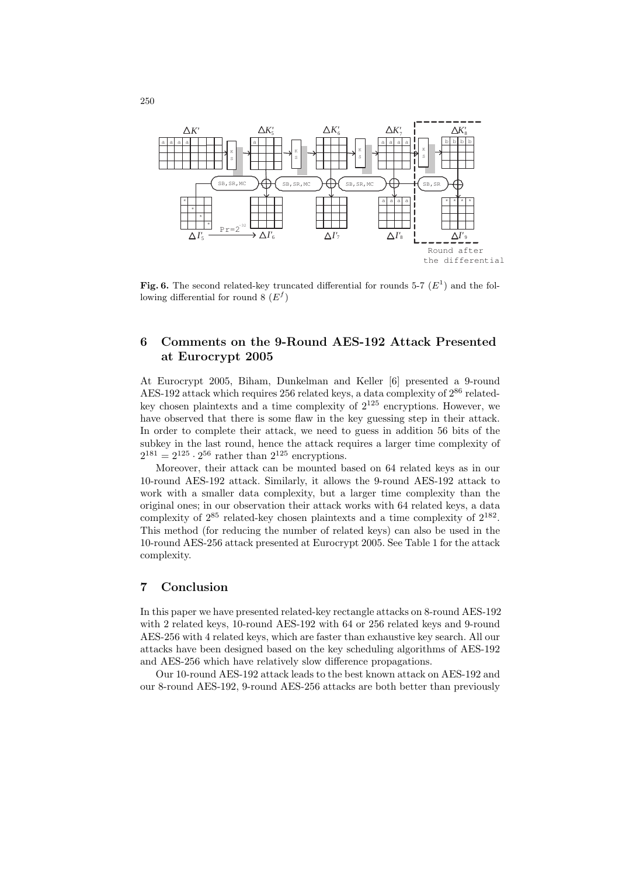

Fig. 6. The second related-key truncated differential for rounds 5-7  $(E^1)$  and the following differential for round  $8(E^f)$ 

# 6 Comments on the 9-Round AES-192 Attack Presented at Eurocrypt 2005

At Eurocrypt 2005, Biham, Dunkelman and Keller [6] presented a 9-round AES-192 attack which requires 256 related keys, a data complexity of  $2^{86}$  relatedkey chosen plaintexts and a time complexity of  $2^{125}$  encryptions. However, we have observed that there is some flaw in the key guessing step in their attack. In order to complete their attack, we need to guess in addition 56 bits of the subkey in the last round, hence the attack requires a larger time complexity of  $2^{181} = 2^{125} \cdot 2^{56}$  rather than  $2^{125}$  encryptions.

Moreover, their attack can be mounted based on 64 related keys as in our 10-round AES-192 attack. Similarly, it allows the 9-round AES-192 attack to work with a smaller data complexity, but a larger time complexity than the original ones; in our observation their attack works with 64 related keys, a data complexity of  $2^{85}$  related-key chosen plaintexts and a time complexity of  $2^{182}$ . This method (for reducing the number of related keys) can also be used in the 10-round AES-256 attack presented at Eurocrypt 2005. See Table 1 for the attack complexity.

## 7 Conclusion

In this paper we have presented related-key rectangle attacks on 8-round AES-192 with 2 related keys, 10-round AES-192 with 64 or 256 related keys and 9-round AES-256 with 4 related keys, which are faster than exhaustive key search. All our attacks have been designed based on the key scheduling algorithms of AES-192 and AES-256 which have relatively slow difference propagations.

Our 10-round AES-192 attack leads to the best known attack on AES-192 and our 8-round AES-192, 9-round AES-256 attacks are both better than previously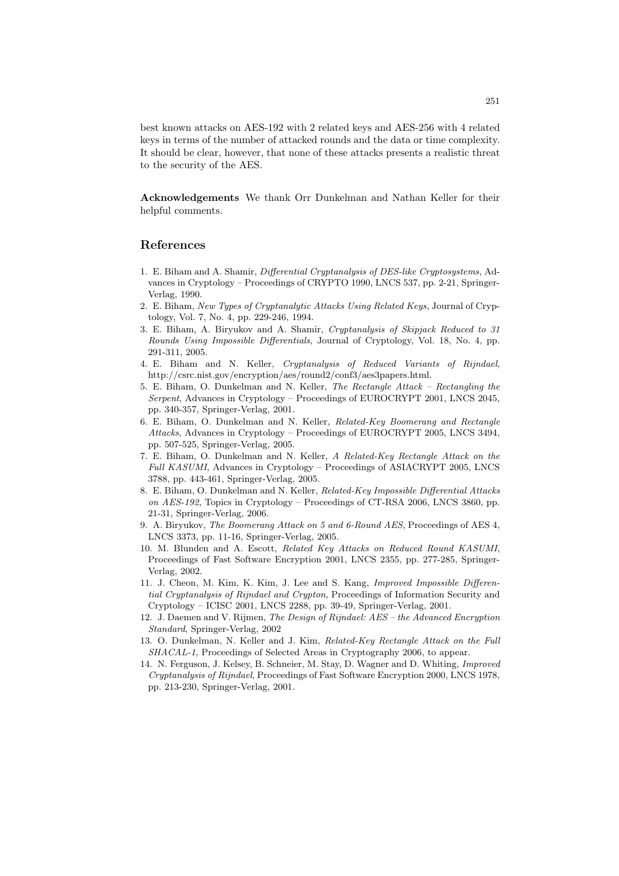best known attacks on AES-192 with 2 related keys and AES-256 with 4 related keys in terms of the number of attacked rounds and the data or time complexity. It should be clear, however, that none of these attacks presents a realistic threat to the security of the AES.

Acknowledgements We thank Orr Dunkelman and Nathan Keller for their helpful comments.

#### References

- 1. E. Biham and A. Shamir, Differential Cryptanalysis of DES-like Cryptosystems, Advances in Cryptology – Proceedings of CRYPTO 1990, LNCS 537, pp. 2-21, Springer-Verlag, 1990.
- 2. E. Biham, New Types of Cryptanalytic Attacks Using Related Keys, Journal of Cryptology, Vol. 7, No. 4, pp. 229-246, 1994.
- 3. E. Biham, A. Biryukov and A. Shamir, Cryptanalysis of Skipjack Reduced to 31 Rounds Using Impossible Differentials, Journal of Cryptology, Vol. 18, No. 4, pp. 291-311, 2005.
- 4. E. Biham and N. Keller, Cryptanalysis of Reduced Variants of Rijndael, http://csrc.nist.gov/encryption/aes/round2/conf3/aes3papers.html.
- 5. E. Biham, O. Dunkelman and N. Keller, The Rectangle Attack Rectangling the Serpent, Advances in Cryptology – Proceedings of EUROCRYPT 2001, LNCS 2045, pp. 340-357, Springer-Verlag, 2001.
- 6. E. Biham, O. Dunkelman and N. Keller, Related-Key Boomerang and Rectangle Attacks, Advances in Cryptology – Proceedings of EUROCRYPT 2005, LNCS 3494, pp. 507-525, Springer-Verlag, 2005.
- 7. E. Biham, O. Dunkelman and N. Keller, A Related-Key Rectangle Attack on the Full KASUMI, Advances in Cryptology – Proceedings of ASIACRYPT 2005, LNCS 3788, pp. 443-461, Springer-Verlag, 2005.
- 8. E. Biham, O. Dunkelman and N. Keller, Related-Key Impossible Differential Attacks on AES-192, Topics in Cryptology – Proceedings of CT-RSA 2006, LNCS 3860, pp. 21-31, Springer-Verlag, 2006.
- 9. A. Biryukov, The Boomerang Attack on 5 and 6-Round AES, Proceedings of AES 4, LNCS 3373, pp. 11-16, Springer-Verlag, 2005.
- 10. M. Blunden and A. Escott, Related Key Attacks on Reduced Round KASUMI, Proceedings of Fast Software Encryption 2001, LNCS 2355, pp. 277-285, Springer-Verlag, 2002.
- 11. J. Cheon, M. Kim, K. Kim, J. Lee and S. Kang, Improved Impossible Differential Cryptanalysis of Rijndael and Crypton, Proceedings of Information Security and Cryptology – ICISC 2001, LNCS 2288, pp. 39-49, Springer-Verlag, 2001.
- 12. J. Daemen and V. Rijmen, The Design of Rijndael: AES the Advanced Encryption Standard, Springer-Verlag, 2002
- 13. O. Dunkelman, N. Keller and J. Kim, Related-Key Rectangle Attack on the Full SHACAL-1, Proceedings of Selected Areas in Cryptography 2006, to appear.
- 14. N. Ferguson, J. Kelsey, B. Schneier, M. Stay, D. Wagner and D. Whiting, Improved Cryptanalysis of Rijndael, Proceedings of Fast Software Encryption 2000, LNCS 1978, pp. 213-230, Springer-Verlag, 2001.